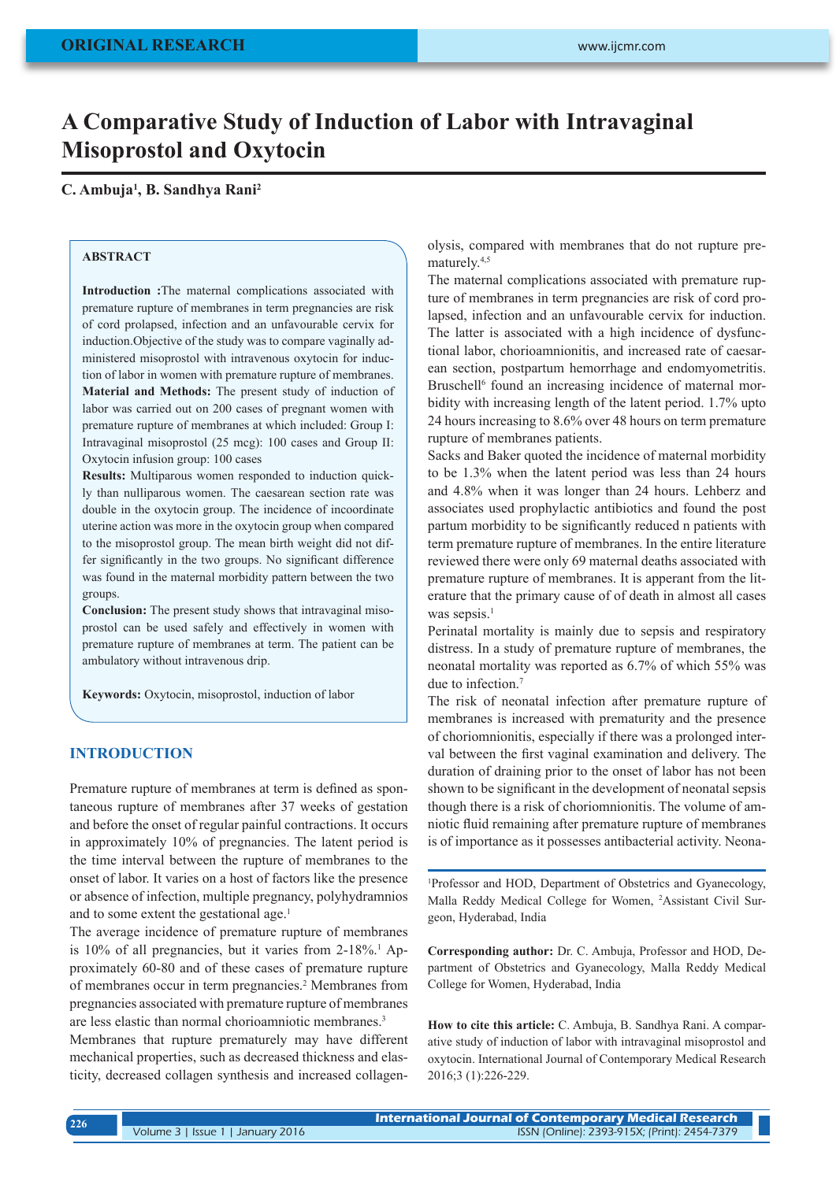# **A Comparative Study of Induction of Labor with Intravaginal Misoprostol and Oxytocin**

# **C. Ambuja1 , B. Sandhya Rani2**

# **ABSTRACT**

**Introduction :**The maternal complications associated with premature rupture of membranes in term pregnancies are risk of cord prolapsed, infection and an unfavourable cervix for induction.Objective of the study was to compare vaginally administered misoprostol with intravenous oxytocin for induction of labor in women with premature rupture of membranes. **Material and Methods:** The present study of induction of labor was carried out on 200 cases of pregnant women with premature rupture of membranes at which included: Group I: Intravaginal misoprostol (25 mcg): 100 cases and Group II: Oxytocin infusion group: 100 cases

**Results:** Multiparous women responded to induction quickly than nulliparous women. The caesarean section rate was double in the oxytocin group. The incidence of incoordinate uterine action was more in the oxytocin group when compared to the misoprostol group. The mean birth weight did not differ significantly in the two groups. No significant difference was found in the maternal morbidity pattern between the two groups.

**Conclusion:** The present study shows that intravaginal misoprostol can be used safely and effectively in women with premature rupture of membranes at term. The patient can be ambulatory without intravenous drip.

**Keywords:** Oxytocin, misoprostol, induction of labor

# **INTRODUCTION**

Premature rupture of membranes at term is defined as spontaneous rupture of membranes after 37 weeks of gestation and before the onset of regular painful contractions. It occurs in approximately 10% of pregnancies. The latent period is the time interval between the rupture of membranes to the onset of labor. It varies on a host of factors like the presence or absence of infection, multiple pregnancy, polyhydramnios and to some extent the gestational age.<sup>1</sup>

The average incidence of premature rupture of membranes is 10% of all pregnancies, but it varies from 2-18%.<sup>1</sup> Approximately 60-80 and of these cases of premature rupture of membranes occur in term pregnancies.<sup>2</sup> Membranes from pregnancies associated with premature rupture of membranes are less elastic than normal chorioamniotic membranes.3

Membranes that rupture prematurely may have different mechanical properties, such as decreased thickness and elasticity, decreased collagen synthesis and increased collagenolysis, compared with membranes that do not rupture prematurely.4,5

The maternal complications associated with premature rupture of membranes in term pregnancies are risk of cord prolapsed, infection and an unfavourable cervix for induction. The latter is associated with a high incidence of dysfunctional labor, chorioamnionitis, and increased rate of caesarean section, postpartum hemorrhage and endomyometritis. Bruschell<sup>6</sup> found an increasing incidence of maternal morbidity with increasing length of the latent period. 1.7% upto 24 hours increasing to 8.6% over 48 hours on term premature rupture of membranes patients.

Sacks and Baker quoted the incidence of maternal morbidity to be 1.3% when the latent period was less than 24 hours and 4.8% when it was longer than 24 hours. Lehberz and associates used prophylactic antibiotics and found the post partum morbidity to be significantly reduced n patients with term premature rupture of membranes. In the entire literature reviewed there were only 69 maternal deaths associated with premature rupture of membranes. It is apperant from the literature that the primary cause of of death in almost all cases was sepsis.<sup>1</sup>

Perinatal mortality is mainly due to sepsis and respiratory distress. In a study of premature rupture of membranes, the neonatal mortality was reported as 6.7% of which 55% was due to infection.<sup>7</sup>

The risk of neonatal infection after premature rupture of membranes is increased with prematurity and the presence of choriomnionitis, especially if there was a prolonged interval between the first vaginal examination and delivery. The duration of draining prior to the onset of labor has not been shown to be significant in the development of neonatal sepsis though there is a risk of choriomnionitis. The volume of amniotic fluid remaining after premature rupture of membranes is of importance as it possesses antibacterial activity. Neona-

1 Professor and HOD, Department of Obstetrics and Gyanecology, Malla Reddy Medical College for Women, 2 Assistant Civil Surgeon, Hyderabad, India

**Corresponding author:** Dr. C. Ambuja, Professor and HOD, Department of Obstetrics and Gyanecology, Malla Reddy Medical College for Women, Hyderabad, India

**How to cite this article:** C. Ambuja, B. Sandhya Rani. A comparative study of induction of labor with intravaginal misoprostol and oxytocin. International Journal of Contemporary Medical Research 2016;3 (1):226-229.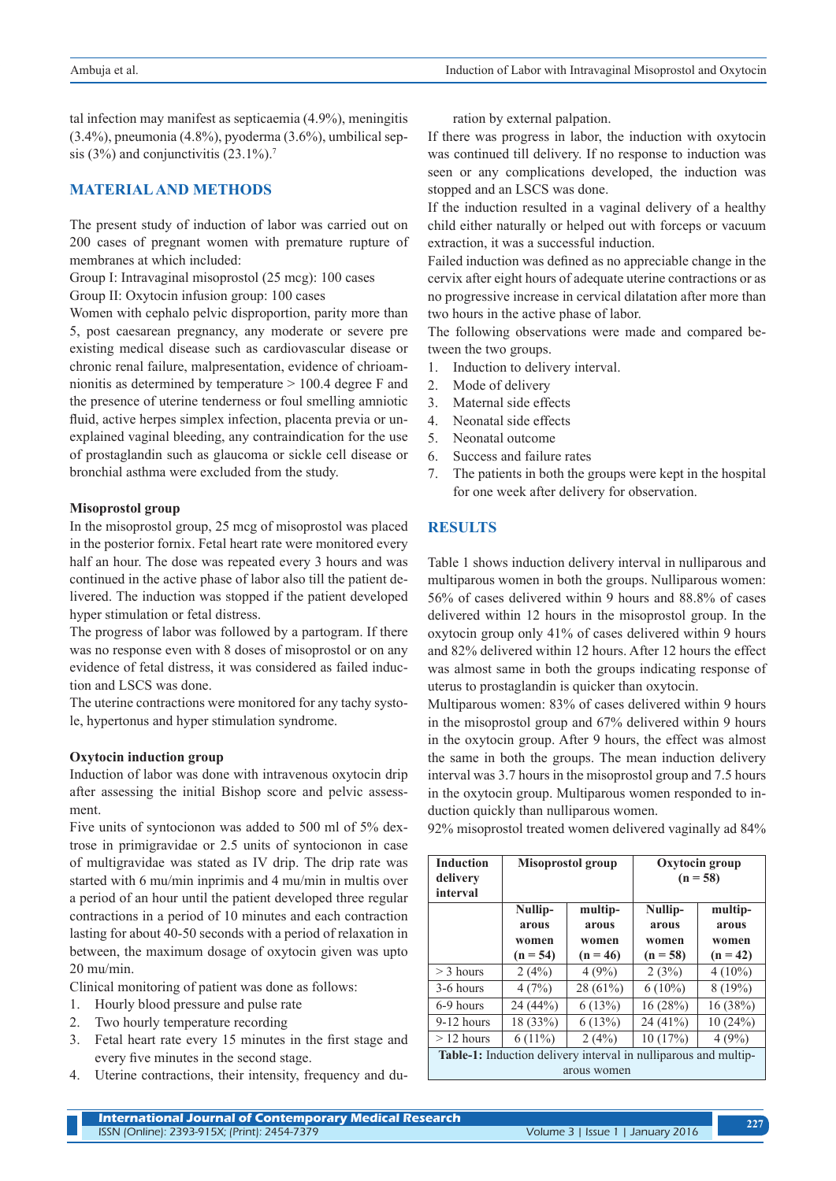tal infection may manifest as septicaemia (4.9%), meningitis (3.4%), pneumonia (4.8%), pyoderma (3.6%), umbilical sepsis (3%) and conjunctivitis  $(23.1\%)$ .<sup>7</sup>

# **MATERIAL AND METHODS**

The present study of induction of labor was carried out on 200 cases of pregnant women with premature rupture of membranes at which included:

Group I: Intravaginal misoprostol (25 mcg): 100 cases

Group II: Oxytocin infusion group: 100 cases

Women with cephalo pelvic disproportion, parity more than 5, post caesarean pregnancy, any moderate or severe pre existing medical disease such as cardiovascular disease or chronic renal failure, malpresentation, evidence of chrioamnionitis as determined by temperature > 100.4 degree F and the presence of uterine tenderness or foul smelling amniotic fluid, active herpes simplex infection, placenta previa or unexplained vaginal bleeding, any contraindication for the use of prostaglandin such as glaucoma or sickle cell disease or bronchial asthma were excluded from the study.

#### **Misoprostol group**

In the misoprostol group, 25 mcg of misoprostol was placed in the posterior fornix. Fetal heart rate were monitored every half an hour. The dose was repeated every 3 hours and was continued in the active phase of labor also till the patient delivered. The induction was stopped if the patient developed hyper stimulation or fetal distress.

The progress of labor was followed by a partogram. If there was no response even with 8 doses of misoprostol or on any evidence of fetal distress, it was considered as failed induction and LSCS was done.

The uterine contractions were monitored for any tachy systole, hypertonus and hyper stimulation syndrome.

#### **Oxytocin induction group**

Induction of labor was done with intravenous oxytocin drip after assessing the initial Bishop score and pelvic assessment.

Five units of syntocionon was added to 500 ml of 5% dextrose in primigravidae or 2.5 units of syntocionon in case of multigravidae was stated as IV drip. The drip rate was started with 6 mu/min inprimis and 4 mu/min in multis over a period of an hour until the patient developed three regular contractions in a period of 10 minutes and each contraction lasting for about 40-50 seconds with a period of relaxation in between, the maximum dosage of oxytocin given was upto 20 mu/min.

Clinical monitoring of patient was done as follows:

- 1. Hourly blood pressure and pulse rate
- 2. Two hourly temperature recording
- 3. Fetal heart rate every 15 minutes in the first stage and every five minutes in the second stage.
- 4. Uterine contractions, their intensity, frequency and du-

ration by external palpation.

If there was progress in labor, the induction with oxytocin was continued till delivery. If no response to induction was seen or any complications developed, the induction was stopped and an LSCS was done.

If the induction resulted in a vaginal delivery of a healthy child either naturally or helped out with forceps or vacuum extraction, it was a successful induction.

Failed induction was defined as no appreciable change in the cervix after eight hours of adequate uterine contractions or as no progressive increase in cervical dilatation after more than two hours in the active phase of labor.

The following observations were made and compared between the two groups.

- 1. Induction to delivery interval.
- 2. Mode of delivery
- 3. Maternal side effects
- 4. Neonatal side effects
- 5. Neonatal outcome
- 6. Success and failure rates
- 7. The patients in both the groups were kept in the hospital for one week after delivery for observation.

# **RESULTS**

Table 1 shows induction delivery interval in nulliparous and multiparous women in both the groups. Nulliparous women: 56% of cases delivered within 9 hours and 88.8% of cases delivered within 12 hours in the misoprostol group. In the oxytocin group only 41% of cases delivered within 9 hours and 82% delivered within 12 hours. After 12 hours the effect was almost same in both the groups indicating response of uterus to prostaglandin is quicker than oxytocin.

Multiparous women: 83% of cases delivered within 9 hours in the misoprostol group and 67% delivered within 9 hours in the oxytocin group. After 9 hours, the effect was almost the same in both the groups. The mean induction delivery interval was 3.7 hours in the misoprostol group and 7.5 hours in the oxytocin group. Multiparous women responded to induction quickly than nulliparous women.

92% misoprostol treated women delivered vaginally ad 84%

| <b>Induction</b><br>delivery<br>interval                        | Misoprostol group   |                     | Oxytocin group<br>$(n = 58)$ |                     |
|-----------------------------------------------------------------|---------------------|---------------------|------------------------------|---------------------|
|                                                                 | Nullip-             | multip-             | Nullip-                      | multip-             |
|                                                                 | arous               | arous               | arous                        | arous               |
|                                                                 | women<br>$(n = 54)$ | women<br>$(n = 46)$ | women<br>$(n = 58)$          | women<br>$(n = 42)$ |
|                                                                 |                     |                     |                              |                     |
| $>$ 3 hours                                                     | 2(4%)               | 4(9%)               | 2(3%)                        | $4(10\%)$           |
| 3-6 hours                                                       | 4(7%)               | 28 (61%)            | $6(10\%)$                    | 8(19%)              |
| 6-9 hours                                                       | 24 (44%)            | 6(13%)              | 16(28%)                      | 16(38%)             |
| $9-12$ hours                                                    | 18 (33%)            | 6(13%)              | $24(41\%)$                   | 10(24%)             |
| $>12$ hours                                                     | $6(11\%)$           | 2(4%)               | 10(17%)                      | 4(9%)               |
| Table-1: Induction delivery interval in nulliparous and multip- |                     |                     |                              |                     |
| arous women                                                     |                     |                     |                              |                     |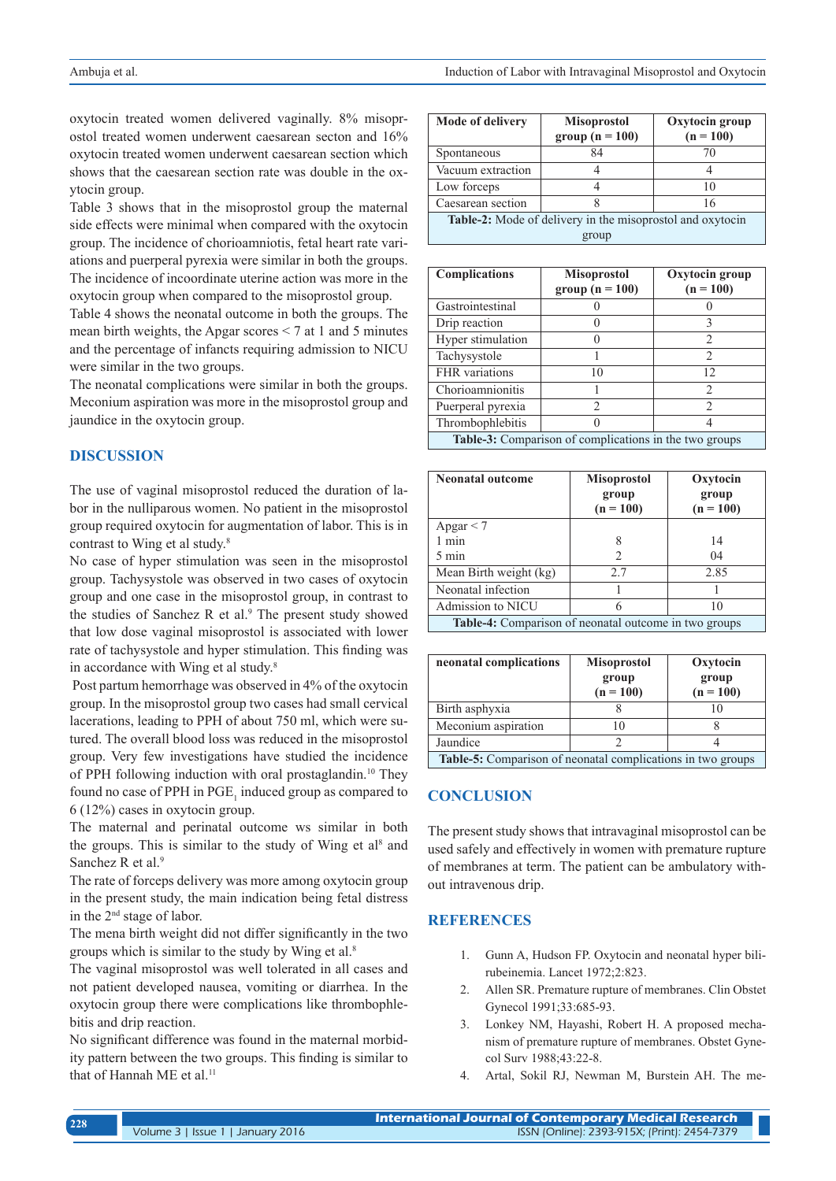oxytocin treated women delivered vaginally. 8% misoprostol treated women underwent caesarean secton and 16% oxytocin treated women underwent caesarean section which shows that the caesarean section rate was double in the oxytocin group.

Table 3 shows that in the misoprostol group the maternal side effects were minimal when compared with the oxytocin group. The incidence of chorioamniotis, fetal heart rate variations and puerperal pyrexia were similar in both the groups. The incidence of incoordinate uterine action was more in the oxytocin group when compared to the misoprostol group.

Table 4 shows the neonatal outcome in both the groups. The mean birth weights, the Apgar scores < 7 at 1 and 5 minutes and the percentage of infancts requiring admission to NICU were similar in the two groups.

The neonatal complications were similar in both the groups. Meconium aspiration was more in the misoprostol group and jaundice in the oxytocin group.

# **DISCUSSION**

The use of vaginal misoprostol reduced the duration of labor in the nulliparous women. No patient in the misoprostol group required oxytocin for augmentation of labor. This is in contrast to Wing et al study.<sup>8</sup>

No case of hyper stimulation was seen in the misoprostol group. Tachysystole was observed in two cases of oxytocin group and one case in the misoprostol group, in contrast to the studies of Sanchez R et al.<sup>9</sup> The present study showed that low dose vaginal misoprostol is associated with lower rate of tachysystole and hyper stimulation. This finding was in accordance with Wing et al study.8

 Post partum hemorrhage was observed in 4% of the oxytocin group. In the misoprostol group two cases had small cervical lacerations, leading to PPH of about 750 ml, which were sutured. The overall blood loss was reduced in the misoprostol group. Very few investigations have studied the incidence of PPH following induction with oral prostaglandin.10 They found no case of PPH in  $PGE_1$  induced group as compared to 6 (12%) cases in oxytocin group.

The maternal and perinatal outcome ws similar in both the groups. This is similar to the study of Wing et  $al<sup>8</sup>$  and Sanchez R et al.<sup>9</sup>

The rate of forceps delivery was more among oxytocin group in the present study, the main indication being fetal distress in the 2nd stage of labor.

The mena birth weight did not differ significantly in the two groups which is similar to the study by Wing et al.8

The vaginal misoprostol was well tolerated in all cases and not patient developed nausea, vomiting or diarrhea. In the oxytocin group there were complications like thrombophlebitis and drip reaction.

No significant difference was found in the maternal morbidity pattern between the two groups. This finding is similar to that of Hannah ME et al.<sup>11</sup>

| Mode of delivery                                          | <b>Misoprostol</b><br>group $(n = 100)$ | Oxytocin group<br>$(n = 100)$ |  |  |
|-----------------------------------------------------------|-----------------------------------------|-------------------------------|--|--|
| Spontaneous                                               | 84                                      |                               |  |  |
|                                                           |                                         |                               |  |  |
| Vacuum extraction                                         |                                         |                               |  |  |
| Low forceps                                               |                                         | 10                            |  |  |
| Caesarean section                                         |                                         | 16                            |  |  |
| Table-2: Mode of delivery in the misoprostol and oxytocin |                                         |                               |  |  |
| group                                                     |                                         |                               |  |  |

| <b>Complications</b>                                   | <b>Misoprostol</b><br>group $(n = 100)$ | Oxytocin group<br>$(n = 100)$ |  |  |
|--------------------------------------------------------|-----------------------------------------|-------------------------------|--|--|
| Gastrointestinal                                       |                                         |                               |  |  |
| Drip reaction                                          |                                         |                               |  |  |
| Hyper stimulation                                      |                                         | $\mathfrak{D}_{\mathfrak{p}}$ |  |  |
| Tachysystole                                           |                                         | $\overline{2}$                |  |  |
| FHR variations                                         | 10                                      | 12                            |  |  |
| Chorioamnionitis                                       |                                         | $\mathcal{D}$                 |  |  |
| Puerperal pyrexia                                      | 2                                       | $\mathfrak{D}$                |  |  |
| Thrombophlebitis                                       |                                         |                               |  |  |
| Table-3: Comparison of complications in the two groups |                                         |                               |  |  |

| <b>Neonatal outcome</b>                               | <b>Misoprostol</b><br>group<br>$(n = 100)$ | Oxytocin<br>group<br>$(n = 100)$ |  |  |
|-------------------------------------------------------|--------------------------------------------|----------------------------------|--|--|
| Apgar $<$ 7                                           |                                            |                                  |  |  |
| 1 min                                                 | 8                                          | 14                               |  |  |
| 5 min                                                 | 2                                          | 04                               |  |  |
| Mean Birth weight (kg)                                | 2.7                                        | 2.85                             |  |  |
| Neonatal infection                                    |                                            |                                  |  |  |
| Admission to NICU                                     | 6                                          | 10                               |  |  |
| Table-4: Comparison of neonatal outcome in two groups |                                            |                                  |  |  |

| neonatal complications                                      | <b>Misoprostol</b><br>group<br>$(n = 100)$ | Oxytocin<br>group<br>$(n = 100)$ |  |
|-------------------------------------------------------------|--------------------------------------------|----------------------------------|--|
| Birth asphyxia                                              |                                            |                                  |  |
| Meconium aspiration                                         |                                            |                                  |  |
| Jaundice                                                    |                                            |                                  |  |
| Table-5: Comparison of neonatal complications in two groups |                                            |                                  |  |

# **CONCLUSION**

The present study shows that intravaginal misoprostol can be used safely and effectively in women with premature rupture of membranes at term. The patient can be ambulatory without intravenous drip.

#### **REFERENCES**

- 1. Gunn A, Hudson FP. Oxytocin and neonatal hyper bilirubeinemia. Lancet 1972;2:823.
- 2. Allen SR. Premature rupture of membranes. Clin Obstet Gynecol 1991;33:685-93.
- 3. Lonkey NM, Hayashi, Robert H. A proposed mechanism of premature rupture of membranes. Obstet Gynecol Surv 1988;43:22-8.
- 4. Artal, Sokil RJ, Newman M, Burstein AH. The me-